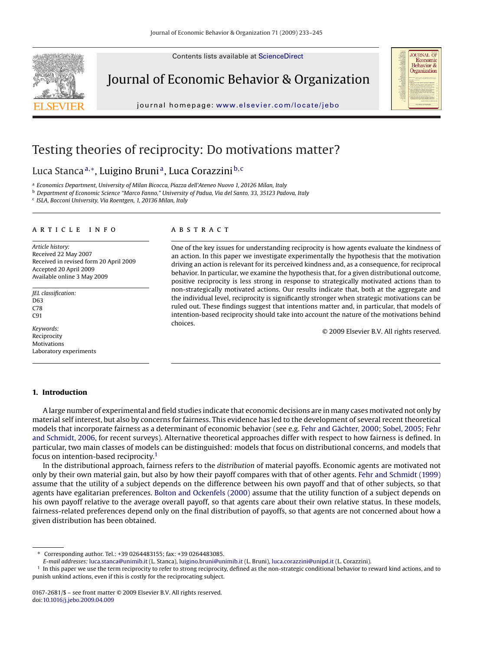Contents lists available at [ScienceDirect](http://www.sciencedirect.com/science/journal/01672681)



Journal of Economic Behavior & Organization

journal homepage: [www.elsevier.com/locate/jebo](http://www.elsevier.com/locate/jebo)



## Testing theories of reciprocity: Do motivations matter?

### Luca Stanca<sup>a,</sup>\*, Luigino Bruni<sup>a</sup>, Luca Corazzini<sup>b, c</sup>

<sup>a</sup> *Economics Department, University of Milan Bicocca, Piazza dell'Ateneo Nuovo 1, 20126 Milan, Italy*

<sup>b</sup> *Department of Economic Science "Marco Fanno," University of Padua, Via del Santo, 33, 35123 Padova, Italy*

<sup>c</sup> *ISLA, Bocconi University, Via Roentgen, 1, 20136 Milan, Italy*

#### article info

*Article history:* Received 22 May 2007 Received in revised form 20 April 2009 Accepted 20 April 2009 Available online 3 May 2009

*JEL classification:* D63 C78  $C91$ 

*Keywords:* Reciprocity Motivations Laboratory experiments

#### ABSTRACT

One of the key issues for understanding reciprocity is how agents evaluate the kindness of an action. In this paper we investigate experimentally the hypothesis that the motivation driving an action is relevant for its perceived kindness and, as a consequence, for reciprocal behavior. In particular, we examine the hypothesis that, for a given distributional outcome, positive reciprocity is less strong in response to strategically motivated actions than to non-strategically motivated actions. Our results indicate that, both at the aggregate and the individual level, reciprocity is significantly stronger when strategic motivations can be ruled out. These findings suggest that intentions matter and, in particular, that models of intention-based reciprocity should take into account the nature of the motivations behind choices.

© 2009 Elsevier B.V. All rights reserved.

#### **1. Introduction**

A large number of experimental and field studies indicate that economic decisions are in many cases motivated not only by material self interest, but also by concerns for fairness. This evidence has led to the development of several recent theoretical models that incorporate fairness as a determinant of economic behavior (see e.g. [Fehr and Gächter, 2000; Sobel, 2005; Fehr](#page--1-0) [and Schmidt, 2006, f](#page--1-0)or recent surveys). Alternative theoretical approaches differ with respect to how fairness is defined. In particular, two main classes of models can be distinguished: models that focus on distributional concerns, and models that focus on intention-based reciprocity.<sup>1</sup>

In the distributional approach, fairness refers to the *distribution* of material payoffs. Economic agents are motivated not only by their own material gain, but also by how their payoff compares with that of other agents. [Fehr and Schmidt \(1999\)](#page--1-0) assume that the utility of a subject depends on the difference between his own payoff and that of other subjects, so that agents have egalitarian preferences. [Bolton and Ockenfels \(2000\)](#page--1-0) assume that the utility function of a subject depends on his own payoff relative to the average overall payoff, so that agents care about their own relative status. In these models, fairness-related preferences depend only on the final distribution of payoffs, so that agents are not concerned about how a given distribution has been obtained.

<sup>∗</sup> Corresponding author. Tel.: +39 0264483155; fax: +39 0264483085.

*E-mail addresses:* [luca.stanca@unimib.it](mailto:luca.stanca@unimib.it) (L. Stanca), [luigino.bruni@unimib.it](mailto:luigino.bruni@unimib.it) (L. Bruni), [luca.corazzini@unipd.it](mailto:luca.corazzini@unipd.it) (L. Corazzini).

<sup>&</sup>lt;sup>1</sup> In this paper we use the term reciprocity to refer to strong reciprocity, defined as the non-strategic conditional behavior to reward kind actions, and to punish unkind actions, even if this is costly for the reciprocating subject.

<sup>0167-2681/\$ –</sup> see front matter © 2009 Elsevier B.V. All rights reserved. doi:[10.1016/j.jebo.2009.04.009](dx.doi.org/10.1016/j.jebo.2009.04.009)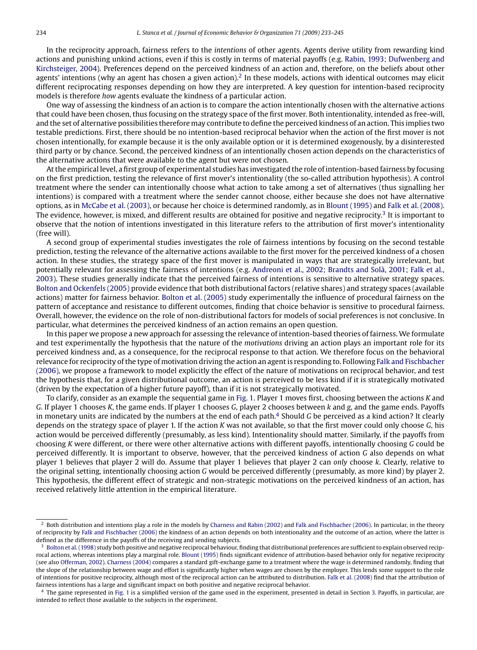In the reciprocity approach, fairness refers to the *intentions* of other agents. Agents derive utility from rewarding kind actions and punishing unkind actions, even if this is costly in terms of material payoffs (e.g. [Rabin, 1993; Dufwenberg and](#page--1-0) [Kirchsteiger, 2004\).](#page--1-0) Preferences depend on the perceived kindness of an action and, therefore, on the beliefs about other agents' intentions (why an agent has chosen a given action).<sup>2</sup> In these models, actions with identical outcomes may elicit different reciprocating responses depending on how they are interpreted. A key question for intention-based reciprocity models is therefore *how* agents evaluate the kindness of a particular action.

One way of assessing the kindness of an action is to compare the action intentionally chosen with the alternative actions that could have been chosen, thus focusing on the strategy space of the first mover. Both intentionality, intended as free-will, and the set of alternative possibilities therefore may contribute to define the perceived kindness of an action. This implies two testable predictions. First, there should be no intention-based reciprocal behavior when the action of the first mover is not chosen intentionally, for example because it is the only available option or it is determined exogenously, by a disinterested third party or by chance. Second, the perceived kindness of an intentionally chosen action depends on the characteristics of the alternative actions that were available to the agent but were not chosen.

At the empirical level, a first group of experimental studies has investigated the role of intention-based fairness by focusing on the first prediction, testing the relevance of first mover's intentionality (the so-called attribution hypothesis). A control treatment where the sender can intentionally choose what action to take among a set of alternatives (thus signalling her intentions) is compared with a treatment where the sender cannot choose, either because she does not have alternative options, as in [McCabe et al. \(2003\), o](#page--1-0)r because her choice is determined randomly, as in [Blount \(1995\)](#page--1-0) and [Falk et al. \(2008\).](#page--1-0) The evidence, however, is mixed, and different results are obtained for positive and negative reciprocity.<sup>3</sup> It is important to observe that the notion of intentions investigated in this literature refers to the attribution of first mover's intentionality (free will).

A second group of experimental studies investigates the role of fairness intentions by focusing on the second testable prediction, testing the relevance of the alternative actions available to the first mover for the perceived kindness of a chosen action. In these studies, the strategy space of the first mover is manipulated in ways that are strategically irrelevant, but potentially relevant for assessing the fairness of intentions (e.g. [Andreoni et al., 2002; Brandts and Solà, 2001; Falk et al.,](#page--1-0) [2003\).](#page--1-0) These studies generally indicate that the perceived fairness of intentions is sensitive to alternative strategy spaces. [Bolton and Ockenfels \(2005\)](#page--1-0) provide evidence that both distributional factors (relative shares) and strategy spaces (available actions) matter for fairness behavior. [Bolton et al. \(2005\)](#page--1-0) study experimentally the influence of procedural fairness on the pattern of acceptance and resistance to different outcomes, finding that choice behavior is sensitive to procedural fairness. Overall, however, the evidence on the role of non-distributional factors for models of social preferences is not conclusive. In particular, what determines the perceived kindness of an action remains an open question.

In this paper we propose a new approach for assessing the relevance of intention-based theories of fairness. We formulate and test experimentally the hypothesis that the nature of the *motivations* driving an action plays an important role for its perceived kindness and, as a consequence, for the reciprocal response to that action. We therefore focus on the behavioral relevance for reciprocity of the type of motivation driving the action an agent is responding to. Following [Falk and Fischbacher](#page--1-0) [\(2006\), w](#page--1-0)e propose a framework to model explicitly the effect of the nature of motivations on reciprocal behavior, and test the hypothesis that, for a given distributional outcome, an action is perceived to be less kind if it is strategically motivated (driven by the expectation of a higher future payoff), than if it is not strategically motivated.

To clarify, consider as an example the sequential game in [Fig. 1. P](#page--1-0)layer 1 moves first, choosing between the actions *K* and *G*. If player 1 chooses *K*, the game ends. If player 1 chooses *G*, player 2 chooses between *k* and *g*, and the game ends. Payoffs in monetary units are indicated by the numbers at the end of each path.4 Should *G* be perceived as a kind action? It clearly depends on the strategy space of player 1. If the action *K* was not available, so that the first mover could only choose *G*, his action would be perceived differently (presumably, as less kind). Intentionality should matter. Similarly, if the payoffs from choosing *K* were different, or there were other alternative actions with different payoffs, intentionally choosing *G* could be perceived differently. It is important to observe, however, that the perceived kindness of action *G* also depends on what player 1 believes that player 2 will do. Assume that player 1 believes that player 2 can *only* choose *k*. Clearly, relative to the original setting, intentionally choosing action *G* would be perceived differently (presumably, as more kind) by player 2. This hypothesis, the different effect of strategic and non-strategic motivations on the perceived kindness of an action, has received relatively little attention in the empirical literature.

<sup>2</sup> Both distribution and intentions play a role in the models by [Charness and Rabin \(2002\)](#page--1-0) and [Falk and Fischbacher \(2006\). I](#page--1-0)n particular, in the theory of reciprocity by [Falk and Fischbacher \(2006\)](#page--1-0) the kindness of an action depends on both intentionality and the outcome of an action, where the latter is defined as the difference in the payoffs of the receiving and sending subjects.

<sup>3</sup> [Bolton et al. \(1998\)](#page--1-0) study both positive and negative reciprocal behaviour, finding that distributional preferences are sufficient to explain observed reciprocal actions, whereas intentions play a marginal role. [Blount \(1995\)](#page--1-0) finds significant evidence of attribution-based behavior only for negative reciprocity (see also [Offerman, 2002\).](#page--1-0) [Charness \(2004\)](#page--1-0) compares a standard gift-exchange game to a treatment where the wage is determined randomly, finding that the slope of the relationship between wage and effort is significantly higher when wages are chosen by the employer. This lends some support to the role of intentions for positive reciprocity, although most of the reciprocal action can be attributed to distribution. [Falk et al. \(2008\)](#page--1-0) find that the attribution of fairness intentions has a large and significant impact on both positive and negative reciprocal behavior.

<sup>4</sup> The game represented in [Fig. 1](#page--1-0) is a simplified version of the game used in the experiment, presented in detail in Section [3. P](#page--1-0)ayoffs, in particular, are intended to reflect those available to the subjects in the experiment.